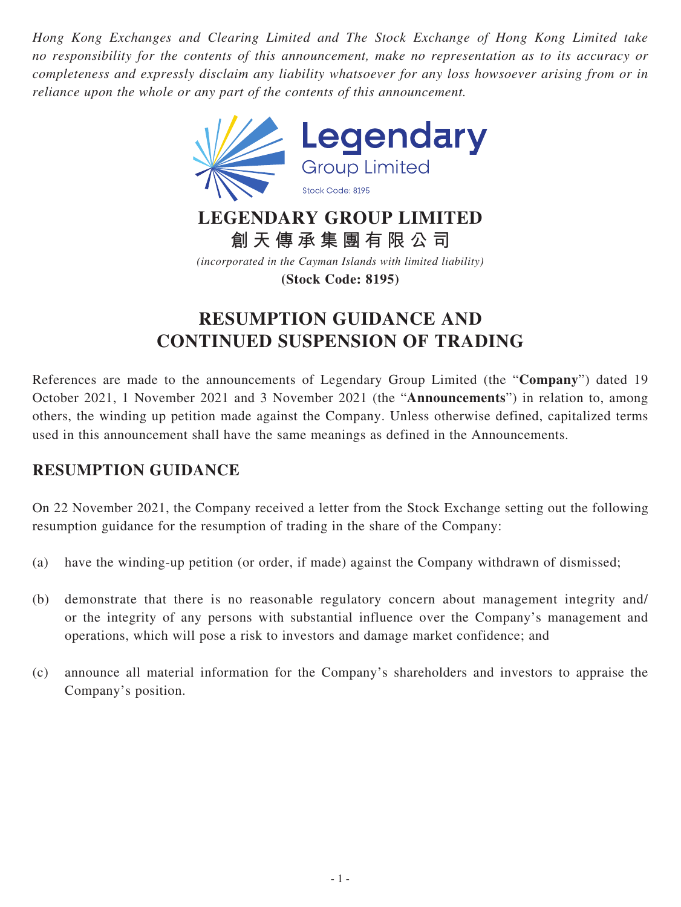*Hong Kong Exchanges and Clearing Limited and The Stock Exchange of Hong Kong Limited take no responsibility for the contents of this announcement, make no representation as to its accuracy or completeness and expressly disclaim any liability whatsoever for any loss howsoever arising from or in reliance upon the whole or any part of the contents of this announcement.*



**LEGENDARY GROUP LIMITED 創天傳承集團有限公司**

*(incorporated in the Cayman Islands with limited liability)* **(Stock Code: 8195)**

## **RESUMPTION GUIDANCE AND CONTINUED SUSPENSION OF TRADING**

References are made to the announcements of Legendary Group Limited (the "**Company**") dated 19 October 2021, 1 November 2021 and 3 November 2021 (the "**Announcements**") in relation to, among others, the winding up petition made against the Company. Unless otherwise defined, capitalized terms used in this announcement shall have the same meanings as defined in the Announcements.

## **RESUMPTION GUIDANCE**

On 22 November 2021, the Company received a letter from the Stock Exchange setting out the following resumption guidance for the resumption of trading in the share of the Company:

- (a) have the winding-up petition (or order, if made) against the Company withdrawn of dismissed;
- (b) demonstrate that there is no reasonable regulatory concern about management integrity and/ or the integrity of any persons with substantial influence over the Company's management and operations, which will pose a risk to investors and damage market confidence; and
- (c) announce all material information for the Company's shareholders and investors to appraise the Company's position.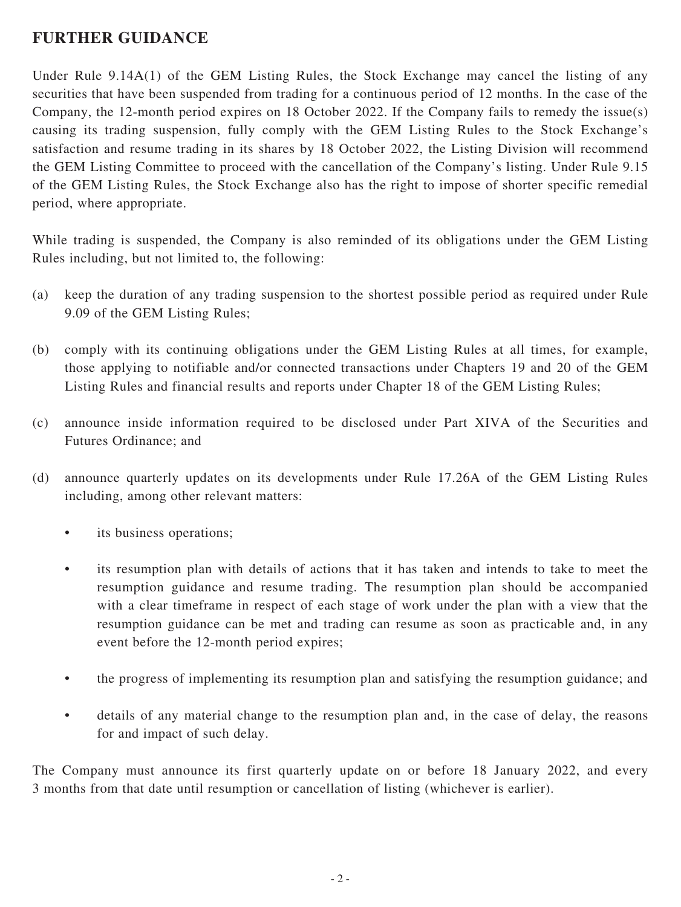## **FURTHER GUIDANCE**

Under Rule 9.14A(1) of the GEM Listing Rules, the Stock Exchange may cancel the listing of any securities that have been suspended from trading for a continuous period of 12 months. In the case of the Company, the 12-month period expires on 18 October 2022. If the Company fails to remedy the issue(s) causing its trading suspension, fully comply with the GEM Listing Rules to the Stock Exchange's satisfaction and resume trading in its shares by 18 October 2022, the Listing Division will recommend the GEM Listing Committee to proceed with the cancellation of the Company's listing. Under Rule 9.15 of the GEM Listing Rules, the Stock Exchange also has the right to impose of shorter specific remedial period, where appropriate.

While trading is suspended, the Company is also reminded of its obligations under the GEM Listing Rules including, but not limited to, the following:

- (a) keep the duration of any trading suspension to the shortest possible period as required under Rule 9.09 of the GEM Listing Rules;
- (b) comply with its continuing obligations under the GEM Listing Rules at all times, for example, those applying to notifiable and/or connected transactions under Chapters 19 and 20 of the GEM Listing Rules and financial results and reports under Chapter 18 of the GEM Listing Rules;
- (c) announce inside information required to be disclosed under Part XIVA of the Securities and Futures Ordinance; and
- (d) announce quarterly updates on its developments under Rule 17.26A of the GEM Listing Rules including, among other relevant matters:
	- its business operations;
	- its resumption plan with details of actions that it has taken and intends to take to meet the resumption guidance and resume trading. The resumption plan should be accompanied with a clear timeframe in respect of each stage of work under the plan with a view that the resumption guidance can be met and trading can resume as soon as practicable and, in any event before the 12-month period expires;
	- the progress of implementing its resumption plan and satisfying the resumption guidance; and
	- details of any material change to the resumption plan and, in the case of delay, the reasons for and impact of such delay.

The Company must announce its first quarterly update on or before 18 January 2022, and every 3 months from that date until resumption or cancellation of listing (whichever is earlier).